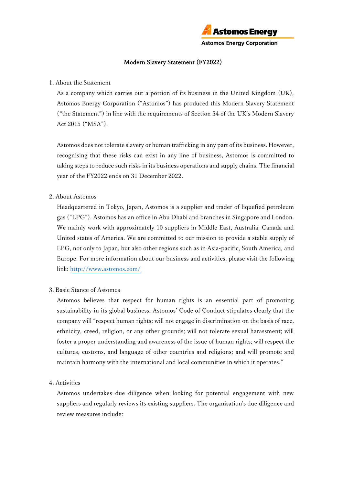

## Modern Slavery Statement (FY2022)

### 1. About the Statement

As a company which carries out a portion of its business in the United Kingdom (UK), Astomos Energy Corporation ("Astomos") has produced this Modern Slavery Statement ("the Statement") in line with the requirements of Section 54 of the UK's Modern Slavery Act 2015 ("MSA").

Astomos does not tolerate slavery or human trafficking in any part of its business. However, recognising that these risks can exist in any line of business, Astomos is committed to taking steps to reduce such risks in its business operations and supply chains. The financial year of the FY2022 ends on 31 December 2022.

## 2. About Astomos

Headquartered in Tokyo, Japan, Astomos is a supplier and trader of liquefied petroleum gas ("LPG"). Astomos has an office in Abu Dhabi and branches in Singapore and London. We mainly work with approximately 10 suppliers in Middle East, Australia, Canada and United states of America. We are committed to our mission to provide a stable supply of LPG, not only to Japan, but also other regions such as in Asia-pacific, South America, and Europe. For more information about our business and activities, please visit the following link[: http://www.astomos.com/](http://www.astomos.com/)

#### 3. Basic Stance of Astomos

Astomos believes that respect for human rights is an essential part of promoting sustainability in its global business. Astomos' Code of Conduct stipulates clearly that the company will "respect human rights; will not engage in discrimination on the basis of race, ethnicity, creed, religion, or any other grounds; will not tolerate sexual harassment; will foster a proper understanding and awareness of the issue of human rights; will respect the cultures, customs, and language of other countries and religions; and will promote and maintain harmony with the international and local communities in which it operates."

#### 4. Activities

Astomos undertakes due diligence when looking for potential engagement with new suppliers and regularly reviews its existing suppliers. The organisation's due diligence and review measures include: